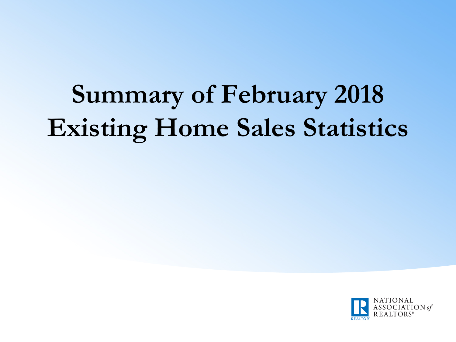# **Summary of February 2018 Existing Home Sales Statistics**

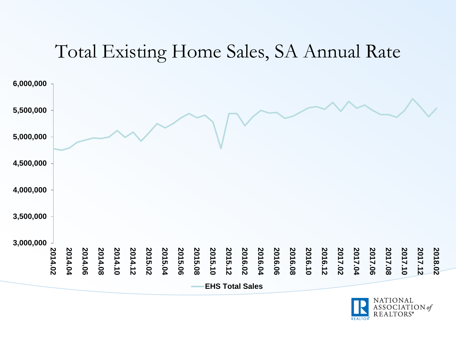#### Total Existing Home Sales, SA Annual Rate



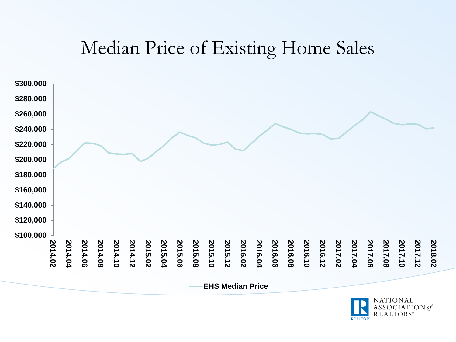#### Median Price of Existing Home Sales



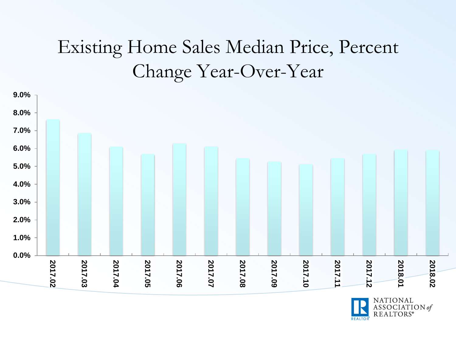## Existing Home Sales Median Price, Percent Change Year-Over-Year



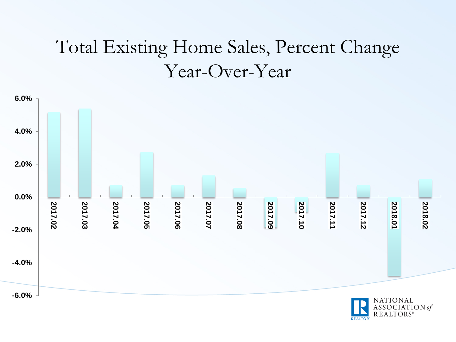## Total Existing Home Sales, Percent Change Year-Over-Year



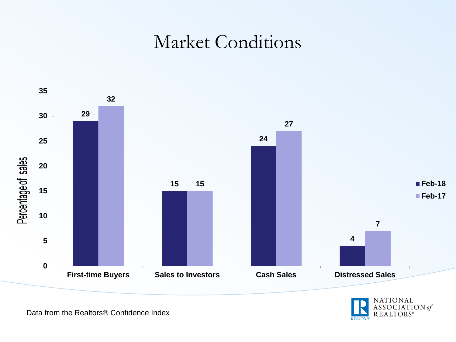#### Market Conditions





Data from the Realtors® Confidence Index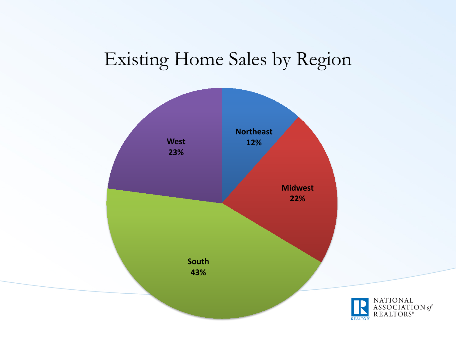## Existing Home Sales by Region

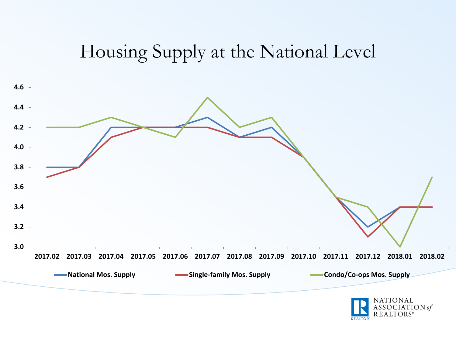## Housing Supply at the National Level



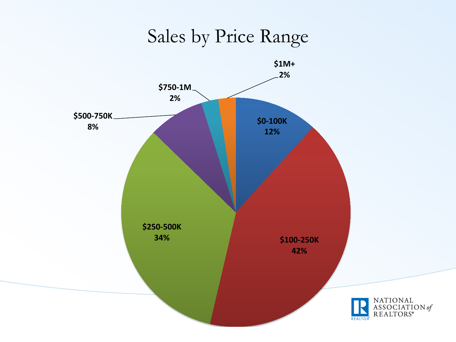Sales by Price Range